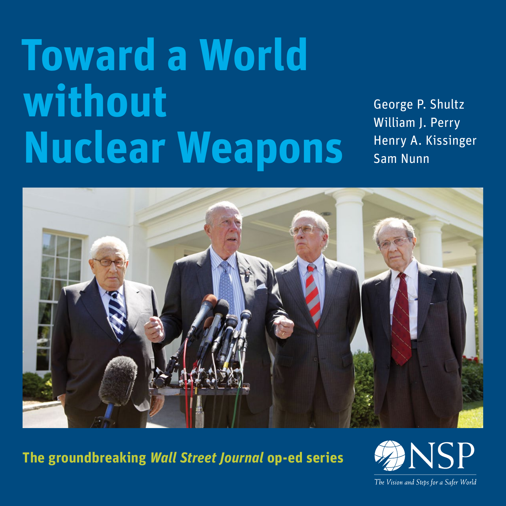# **Toward a World without Nuclear Weapons**

George P. Shultz William J. Perry Henry A. Kissinger Sam Nunn



**The groundbreaking** *Wall Street Journal* **op-ed series**



The Vision and Steps for a Safer World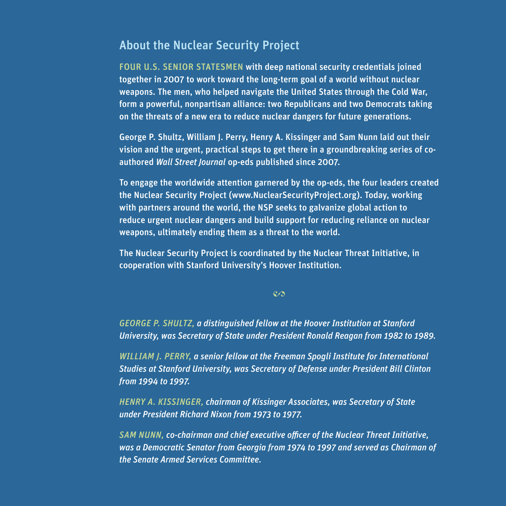### About the Nuclear Security Project

FOUR U.S. SENIOR STATESMEN with deep national security credentials joined together in 2007 to work toward the long-term goal of a world without nuclear weapons. The men, who helped navigate the United States through the Cold War, form a powerful, nonpartisan alliance: two Republicans and two Democrats taking on the threats of a new era to reduce nuclear dangers for future generations.

George P. Shultz, William J. Perry, Henry A. Kissinger and Sam Nunn laid out their vision and the urgent, practical steps to get there in a groundbreaking series of coauthored *Wall Street Journal* op-eds published since 2007.

To engage the worldwide attention garnered by the op-eds, the four leaders created the Nuclear Security Project (www.NuclearSecurityProject.org). Today, working with partners around the world, the NSP seeks to galvanize global action to reduce urgent nuclear dangers and build support for reducing reliance on nuclear weapons, ultimately ending them as a threat to the world.

The Nuclear Security Project is coordinated by the Nuclear Threat Initiative, in cooperation with Stanford University's Hoover Institution.

 $\mathcal{C}$ 

*George P. Shultz, a distinguished fellow at the Hoover Institution at Stanford University, was Secretary of State under President Ronald Reagan from 1982 to 1989.* 

*William J. Perry, a senior fellow at the Freeman Spogli Institute for International Studies at Stanford University, was Secretary of Defense under President Bill Clinton from 1994 to 1997.* 

*Henry A. Kissinger, chairman of Kissinger Associates, was Secretary of State under President Richard Nixon from 1973 to 1977.* 

*Sam Nunn, co-chairman and chief executive officer of the Nuclear Threat Initiative, was a Democratic Senator from Georgia from 1974 to 1997 and served as Chairman of the Senate Armed Services Committee.*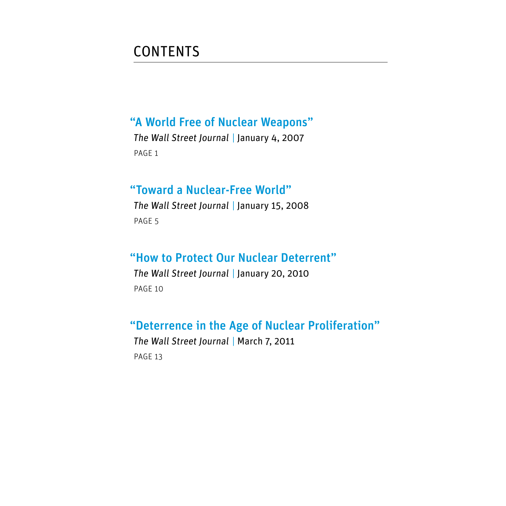## **CONTENTS**

### "A World Free of Nuclear Weapons"

The Wall Street Journal | January 4, 2007 PAGE<sub>1</sub>

### "Toward a Nuclear-Free World"

The Wall Street Journal | January 15, 2008 PAGE<sub>5</sub>

### "How to Protect Our Nuclear Deterrent"

The Wall Street Journal | January 20, 2010 page 10

## "Deterrence in the Age of Nuclear Proliferation"

The Wall Street Journal | March 7, 2011 PAGE 13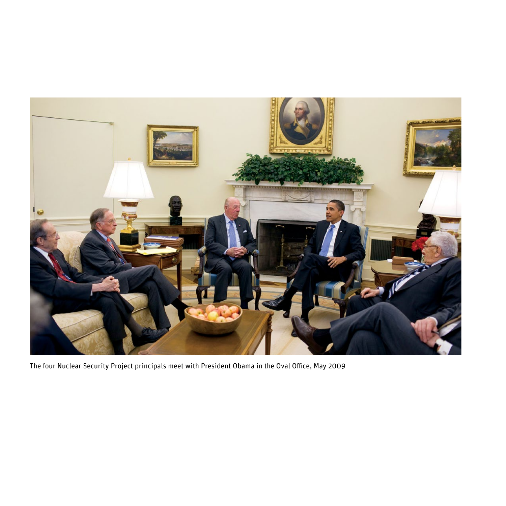

The four Nuclear Security Project principals meet with President Obama in the Oval Office, May 2009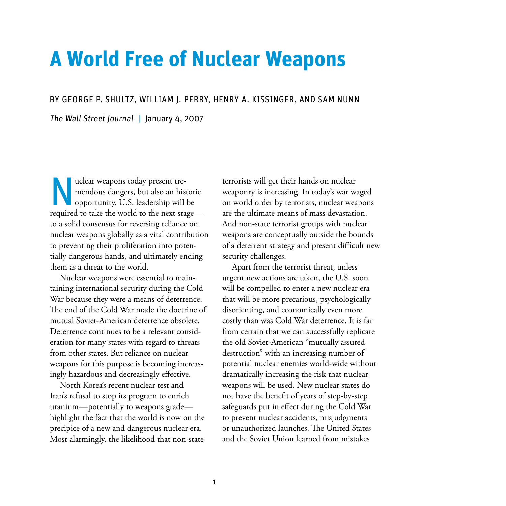# **A World Free of Nuclear Weapons**

By George P. Shultz, William J. Perry, Henry A. Kissinger, and Sam Nunn

The Wall Street Journal | January 4, 2007

Nuclear weapons today present tre-<br>
mendous dangers, but also an his<br>
opportunity. U.S. leadership will mendous dangers, but also an historic opportunity. U.S. leadership will be required to take the world to the next stage to a solid consensus for reversing reliance on nuclear weapons globally as a vital contribution to preventing their proliferation into potentially dangerous hands, and ultimately ending them as a threat to the world.

Nuclear weapons were essential to maintaining international security during the Cold War because they were a means of deterrence. The end of the Cold War made the doctrine of mutual Soviet-American deterrence obsolete. Deterrence continues to be a relevant consideration for many states with regard to threats from other states. But reliance on nuclear weapons for this purpose is becoming increasingly hazardous and decreasingly effective.

North Korea's recent nuclear test and Iran's refusal to stop its program to enrich uranium—potentially to weapons grade highlight the fact that the world is now on the precipice of a new and dangerous nuclear era. Most alarmingly, the likelihood that non-state

terrorists will get their hands on nuclear weaponry is increasing. In today's war waged on world order by terrorists, nuclear weapons are the ultimate means of mass devastation. And non-state terrorist groups with nuclear weapons are conceptually outside the bounds of a deterrent strategy and present difficult new security challenges.

Apart from the terrorist threat, unless urgent new actions are taken, the U.S. soon will be compelled to enter a new nuclear era that will be more precarious, psychologically disorienting, and economically even more costly than was Cold War deterrence. It is far from certain that we can successfully replicate the old Soviet-American "mutually assured destruction" with an increasing number of potential nuclear enemies world-wide without dramatically increasing the risk that nuclear weapons will be used. New nuclear states do not have the benefit of years of step-by-step safeguards put in effect during the Cold War to prevent nuclear accidents, misjudgments or unauthorized launches. The United States and the Soviet Union learned from mistakes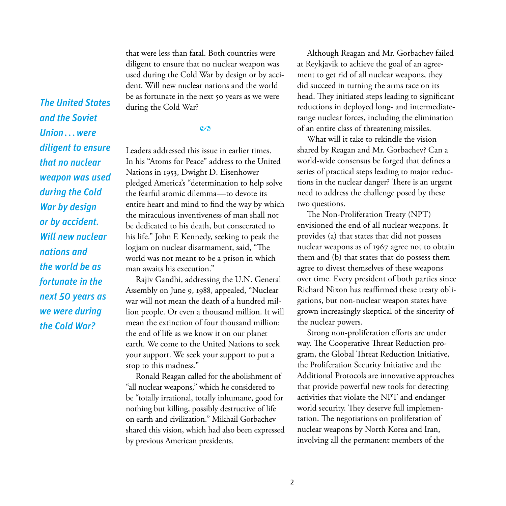that were less than fatal. Both countries were diligent to ensure that no nuclear weapon was used during the Cold War by design or by accident. Will new nuclear nations and the world be as fortunate in the next 50 years as we were during the Cold War?

#### $\mathcal{C}$

Leaders addressed this issue in earlier times. In his "Atoms for Peace" address to the United Nations in 1953, Dwight D. Eisenhower pledged America's "determination to help solve the fearful atomic dilemma—to devote its entire heart and mind to find the way by which the miraculous inventiveness of man shall not be dedicated to his death, but consecrated to his life." John F. Kennedy, seeking to peak the logjam on nuclear disarmament, said, "The world was not meant to be a prison in which man awaits his execution."

Rajiv Gandhi, addressing the U.N. General Assembly on June 9, 1988, appealed, "Nuclear war will not mean the death of a hundred million people. Or even a thousand million. It will mean the extinction of four thousand million: the end of life as we know it on our planet earth. We come to the United Nations to seek your support. We seek your support to put a stop to this madness."

Ronald Reagan called for the abolishment of "all nuclear weapons," which he considered to be "totally irrational, totally inhumane, good for nothing but killing, possibly destructive of life on earth and civilization." Mikhail Gorbachev shared this vision, which had also been expressed by previous American presidents.

Although Reagan and Mr. Gorbachev failed at Reykjavik to achieve the goal of an agreement to get rid of all nuclear weapons, they did succeed in turning the arms race on its head. They initiated steps leading to significant reductions in deployed long- and intermediaterange nuclear forces, including the elimination of an entire class of threatening missiles.

What will it take to rekindle the vision shared by Reagan and Mr. Gorbachev? Can a world-wide consensus be forged that defines a series of practical steps leading to major reductions in the nuclear danger? There is an urgent need to address the challenge posed by these two questions.

The Non-Proliferation Treaty (NPT) envisioned the end of all nuclear weapons. It provides (a) that states that did not possess nuclear weapons as of 1967 agree not to obtain them and (b) that states that do possess them agree to divest themselves of these weapons over time. Every president of both parties since Richard Nixon has reaffirmed these treaty obligations, but non-nuclear weapon states have grown increasingly skeptical of the sincerity of the nuclear powers.

Strong non-proliferation efforts are under way. The Cooperative Threat Reduction program, the Global Threat Reduction Initiative, the Proliferation Security Initiative and the Additional Protocols are innovative approaches that provide powerful new tools for detecting activities that violate the NPT and endanger world security. They deserve full implementation. The negotiations on proliferation of nuclear weapons by North Korea and Iran, involving all the permanent members of the

*The United States and the Soviet Union...were diligent to ensure that no nuclear weapon was used during the Cold War by design or by accident. Will new nuclear nations and the world be as fortunate in the next 50 years as we were during the Cold War?*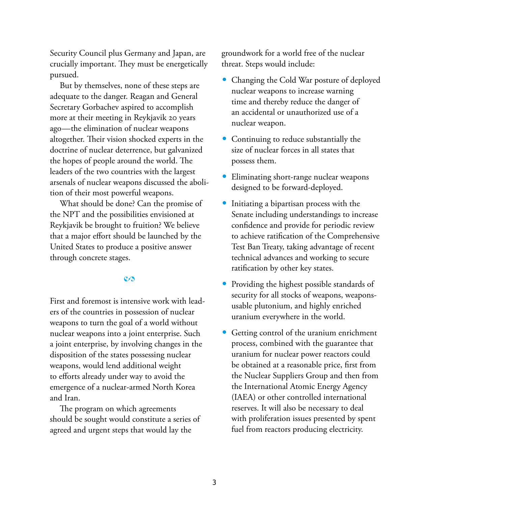Security Council plus Germany and Japan, are crucially important. They must be energetically pursued.

But by themselves, none of these steps are adequate to the danger. Reagan and General Secretary Gorbachev aspired to accomplish more at their meeting in Reykjavik 20 years ago—the elimination of nuclear weapons altogether. Their vision shocked experts in the doctrine of nuclear deterrence, but galvanized the hopes of people around the world. The leaders of the two countries with the largest arsenals of nuclear weapons discussed the abolition of their most powerful weapons.

What should be done? Can the promise of the NPT and the possibilities envisioned at Reykjavik be brought to fruition? We believe that a major effort should be launched by the United States to produce a positive answer through concrete stages.

#### $\mathcal{C}$

First and foremost is intensive work with leaders of the countries in possession of nuclear weapons to turn the goal of a world without nuclear weapons into a joint enterprise. Such a joint enterprise, by involving changes in the disposition of the states possessing nuclear weapons, would lend additional weight to efforts already under way to avoid the emergence of a nuclear-armed North Korea and Iran.

The program on which agreements should be sought would constitute a series of agreed and urgent steps that would lay the

groundwork for a world free of the nuclear threat. Steps would include:

- Changing the Cold War posture of deployed nuclear weapons to increase warning time and thereby reduce the danger of an accidental or unauthorized use of a nuclear weapon.
- Continuing to reduce substantially the size of nuclear forces in all states that possess them.
- Eliminating short-range nuclear weapons designed to be forward-deployed.
- Initiating a bipartisan process with the Senate including understandings to increase confidence and provide for periodic review to achieve ratification of the Comprehensive Test Ban Treaty, taking advantage of recent technical advances and working to secure ratification by other key states.
- Providing the highest possible standards of security for all stocks of weapons, weaponsusable plutonium, and highly enriched uranium everywhere in the world.
- Getting control of the uranium enrichment process, combined with the guarantee that uranium for nuclear power reactors could be obtained at a reasonable price, first from the Nuclear Suppliers Group and then from the International Atomic Energy Agency (IAEA) or other controlled international reserves. It will also be necessary to deal with proliferation issues presented by spent fuel from reactors producing electricity.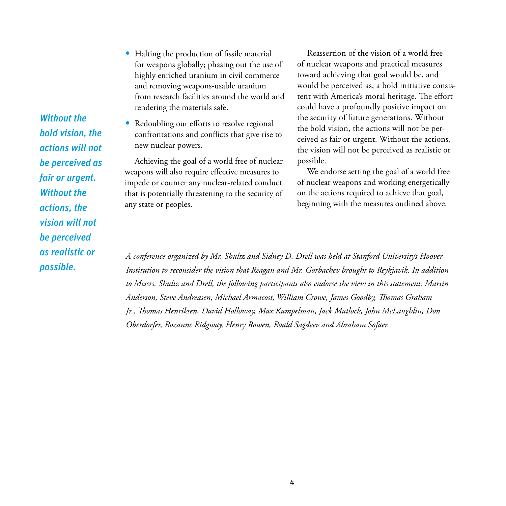*Without the bold vision, the actions will not be perceived as fair or urgent. Without the actions, the vision will not be perceived as realistic or possible.*

- Halting the production of fissile material for weapons globally; phasing out the use of highly enriched uranium in civil commerce and removing weapons-usable uranium from research facilities around the world and rendering the materials safe.
- Redoubling our efforts to resolve regional confrontations and conflicts that give rise to new nuclear powers.

Achieving the goal of a world free of nuclear weapons will also require effective measures to impede or counter any nuclear-related conduct that is potentially threatening to the security of any state or peoples.

Reassertion of the vision of a world free of nuclear weapons and practical measures toward achieving that goal would be, and would be perceived as, a bold initiative consistent with America's moral heritage. The effort could have a profoundly positive impact on the security of future generations. Without the bold vision, the actions will not be perceived as fair or urgent. Without the actions, the vision will not be perceived as realistic or possible.

We endorse setting the goal of a world free of nuclear weapons and working energetically on the actions required to achieve that goal, beginning with the measures outlined above.

*A conference organized by Mr. Shultz and Sidney D. Drell was held at Stanford University's Hoover Institution to reconsider the vision that Reagan and Mr. Gorbachev brought to Reykjavik. In addition to Messrs. Shultz and Drell, the following participants also endorse the view in this statement: Martin Anderson, Steve Andreasen, Michael Armacost, William Crowe, James Goodby, Thomas Graham Jr., Thomas Henriksen, David Holloway, Max Kampelman, Jack Matlock, John McLaughlin, Don Oberdorfer, Rozanne Ridgway, Henry Rowen, Roald Sagdeev and Abraham Sofaer.*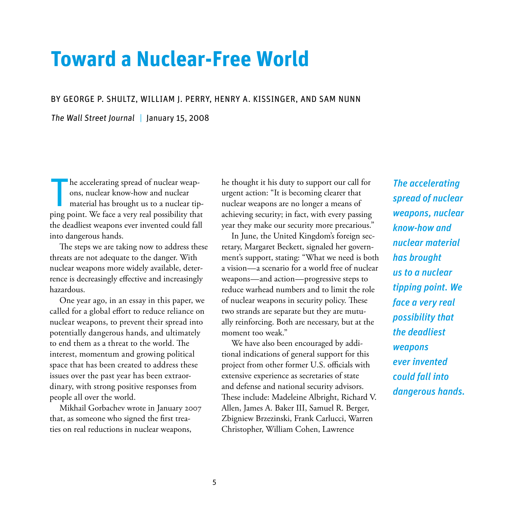# **Toward a Nuclear-Free World**

By George P. Shultz, William J. Perry, Henry A. Kissinger, and Sam Nunn

The Wall Street Journal | January 15, 2008

T he accelerating spread of nuclear weapons, nuclear know-how and nuclear material has brought us to a nuclear tipping point. We face a very real possibility that the deadliest weapons ever invented could fall into dangerous hands.

The steps we are taking now to address these threats are not adequate to the danger. With nuclear weapons more widely available, deterrence is decreasingly effective and increasingly hazardous.

One year ago, in an essay in this paper, we called for a global effort to reduce reliance on nuclear weapons, to prevent their spread into potentially dangerous hands, and ultimately to end them as a threat to the world. The interest, momentum and growing political space that has been created to address these issues over the past year has been extraordinary, with strong positive responses from people all over the world.

Mikhail Gorbachev wrote in January 2007 that, as someone who signed the first treaties on real reductions in nuclear weapons,

he thought it his duty to support our call for urgent action: "It is becoming clearer that nuclear weapons are no longer a means of achieving security; in fact, with every passing year they make our security more precarious."

In June, the United Kingdom's foreign secretary, Margaret Beckett, signaled her government's support, stating: "What we need is both a vision—a scenario for a world free of nuclear weapons—and action—progressive steps to reduce warhead numbers and to limit the role of nuclear weapons in security policy. These two strands are separate but they are mutually reinforcing. Both are necessary, but at the moment too weak."

We have also been encouraged by additional indications of general support for this project from other former U.S. officials with extensive experience as secretaries of state and defense and national security advisors. These include: Madeleine Albright, Richard V. Allen, James A. Baker III, Samuel R. Berger, Zbigniew Brzezinski, Frank Carlucci, Warren Christopher, William Cohen, Lawrence

*The accelerating spread of nuclear weapons, nuclear know-how and nuclear material has brought us to a nuclear tipping point. We face a very real possibility that the deadliest weapons ever invented could fall into dangerous hands.*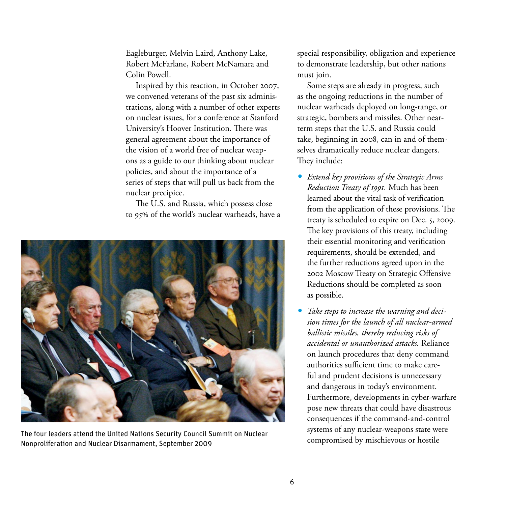Eagleburger, Melvin Laird, Anthony Lake, Robert McFarlane, Robert McNamara and Colin Powell.

Inspired by this reaction, in October 2007, we convened veterans of the past six administrations, along with a number of other experts on nuclear issues, for a conference at Stanford University's Hoover Institution. There was general agreement about the importance of the vision of a world free of nuclear weapons as a guide to our thinking about nuclear policies, and about the importance of a series of steps that will pull us back from the nuclear precipice.

The U.S. and Russia, which possess close to 95% of the world's nuclear warheads, have a



The four leaders attend the United Nations Security Council Summit on Nuclear Nonproliferation and Nuclear Disarmament, September 2009

special responsibility, obligation and experience to demonstrate leadership, but other nations must join.

Some steps are already in progress, such as the ongoing reductions in the number of nuclear warheads deployed on long-range, or strategic, bombers and missiles. Other nearterm steps that the U.S. and Russia could take, beginning in 2008, can in and of themselves dramatically reduce nuclear dangers. They include:

- *Extend key provisions of the Strategic Arms Reduction Treaty of 1991.* Much has been learned about the vital task of verification from the application of these provisions. The treaty is scheduled to expire on Dec. 5, 2009. The key provisions of this treaty, including their essential monitoring and verification requirements, should be extended, and the further reductions agreed upon in the 2002 Moscow Treaty on Strategic Offensive Reductions should be completed as soon as possible.
- *Take steps to increase the warning and decision times for the launch of all nuclear-armed ballistic missiles, thereby reducing risks of accidental or unauthorized attacks.* Reliance on launch procedures that deny command authorities sufficient time to make careful and prudent decisions is unnecessary and dangerous in today's environment. Furthermore, developments in cyber-warfare pose new threats that could have disastrous consequences if the command-and-control systems of any nuclear-weapons state were compromised by mischievous or hostile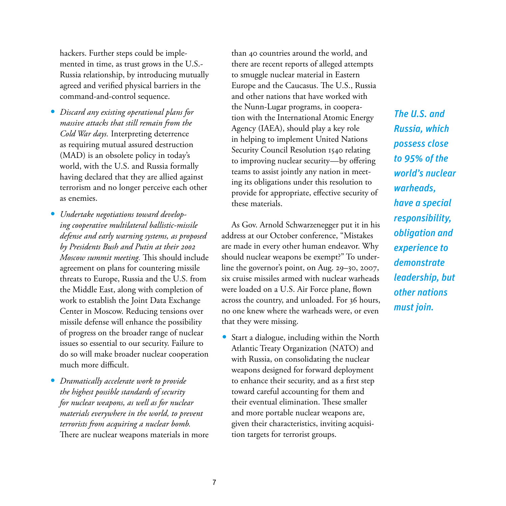hackers. Further steps could be implemented in time, as trust grows in the U.S.- Russia relationship, by introducing mutually agreed and verified physical barriers in the command-and-control sequence.

- *Discard any existing operational plans for massive attacks that still remain from the Cold War days.* Interpreting deterrence as requiring mutual assured destruction (MAD) is an obsolete policy in today's world, with the U.S. and Russia formally having declared that they are allied against terrorism and no longer perceive each other as enemies.
- *Undertake negotiations toward developing cooperative multilateral ballistic-missile defense and early warning systems, as proposed by Presidents Bush and Putin at their 2002 Moscow summit meeting.* This should include agreement on plans for countering missile threats to Europe, Russia and the U.S. from the Middle East, along with completion of work to establish the Joint Data Exchange Center in Moscow. Reducing tensions over missile defense will enhance the possibility of progress on the broader range of nuclear issues so essential to our security. Failure to do so will make broader nuclear cooperation much more difficult.
- *Dramatically accelerate work to provide the highest possible standards of security for nuclear weapons, as well as for nuclear materials everywhere in the world, to prevent terrorists from acquiring a nuclear bomb.* There are nuclear weapons materials in more

than 40 countries around the world, and there are recent reports of alleged attempts to smuggle nuclear material in Eastern Europe and the Caucasus. The U.S., Russia and other nations that have worked with the Nunn-Lugar programs, in cooperation with the International Atomic Energy Agency (IAEA), should play a key role in helping to implement United Nations Security Council Resolution 1540 relating to improving nuclear security—by offering teams to assist jointly any nation in meeting its obligations under this resolution to provide for appropriate, effective security of these materials.

As Gov. Arnold Schwarzenegger put it in his address at our October conference, "Mistakes are made in every other human endeavor. Why should nuclear weapons be exempt?" To underline the governor's point, on Aug. 29–30, 2007, six cruise missiles armed with nuclear warheads were loaded on a U.S. Air Force plane, flown across the country, and unloaded. For 36 hours, no one knew where the warheads were, or even that they were missing.

 Start a dialogue, including within the North Atlantic Treaty Organization (NATO) and with Russia, on consolidating the nuclear weapons designed for forward deployment to enhance their security, and as a first step toward careful accounting for them and their eventual elimination. These smaller and more portable nuclear weapons are, given their characteristics, inviting acquisition targets for terrorist groups.

*The U.S. and Russia, which possess close to 95% of the world's nuclear warheads, have a special responsibility, obligation and experience to demonstrate leadership, but other nations must join.*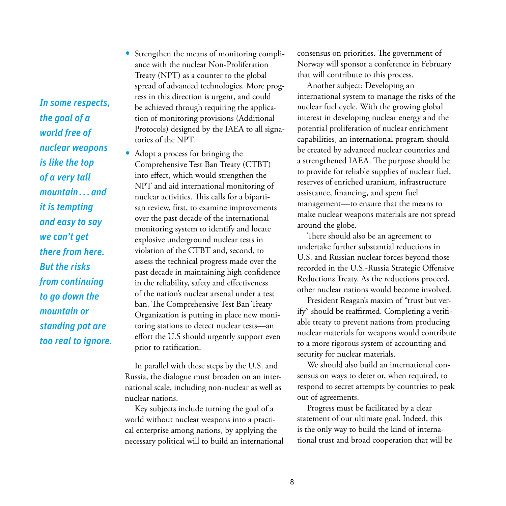*In some respects, the goal of a world free of nuclear weapons is like the top of a very tall mountain...and it is tempting and easy to say we can't get there from here. But the risks from continuing to go down the mountain or standing pat are too real to ignore.*

- Strengthen the means of monitoring compliance with the nuclear Non-Proliferation Treaty (NPT) as a counter to the global spread of advanced technologies. More progress in this direction is urgent, and could be achieved through requiring the application of monitoring provisions (Additional Protocols) designed by the IAEA to all signatories of the NPT.
- Adopt a process for bringing the Comprehensive Test Ban Treaty (CTBT) into effect, which would strengthen the NPT and aid international monitoring of nuclear activities. This calls for a bipartisan review, first, to examine improvements over the past decade of the international monitoring system to identify and locate explosive underground nuclear tests in violation of the CTBT and, second, to assess the technical progress made over the past decade in maintaining high confidence in the reliability, safety and effectiveness of the nation's nuclear arsenal under a test ban. The Comprehensive Test Ban Treaty Organization is putting in place new monitoring stations to detect nuclear tests—an effort the U.S should urgently support even prior to ratification.

In parallel with these steps by the U.S. and Russia, the dialogue must broaden on an international scale, including non-nuclear as well as nuclear nations.

Key subjects include turning the goal of a world without nuclear weapons into a practical enterprise among nations, by applying the necessary political will to build an international

consensus on priorities. The government of Norway will sponsor a conference in February that will contribute to this process.

Another subject: Developing an international system to manage the risks of the nuclear fuel cycle. With the growing global interest in developing nuclear energy and the potential proliferation of nuclear enrichment capabilities, an international program should be created by advanced nuclear countries and a strengthened IAEA. The purpose should be to provide for reliable supplies of nuclear fuel, reserves of enriched uranium, infrastructure assistance, financing, and spent fuel management—to ensure that the means to make nuclear weapons materials are not spread around the globe.

There should also be an agreement to undertake further substantial reductions in U.S. and Russian nuclear forces beyond those recorded in the U.S.-Russia Strategic Offensive Reductions Treaty. As the reductions proceed, other nuclear nations would become involved.

President Reagan's maxim of "trust but verify" should be reaffirmed. Completing a verifiable treaty to prevent nations from producing nuclear materials for weapons would contribute to a more rigorous system of accounting and security for nuclear materials.

We should also build an international consensus on ways to deter or, when required, to respond to secret attempts by countries to peak out of agreements.

Progress must be facilitated by a clear statement of our ultimate goal. Indeed, this is the only way to build the kind of international trust and broad cooperation that will be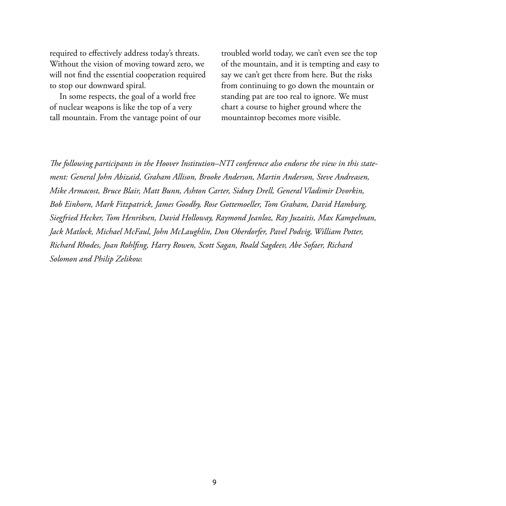required to effectively address today's threats. Without the vision of moving toward zero, we will not find the essential cooperation required to stop our downward spiral.

In some respects, the goal of a world free of nuclear weapons is like the top of a very tall mountain. From the vantage point of our troubled world today, we can't even see the top of the mountain, and it is tempting and easy to say we can't get there from here. But the risks from continuing to go down the mountain or standing pat are too real to ignore. We must chart a course to higher ground where the mountaintop becomes more visible.

*The following participants in the Hoover Institution–NTI conference also endorse the view in this statement: General John Abizaid, Graham Allison, Brooke Anderson, Martin Anderson, Steve Andreasen, Mike Armacost, Bruce Blair, Matt Bunn, Ashton Carter, Sidney Drell, General Vladimir Dvorkin, Bob Einhorn, Mark Fitzpatrick, James Goodby, Rose Gottemoeller, Tom Graham, David Hamburg, Siegfried Hecker, Tom Henriksen, David Holloway, Raymond Jeanloz, Ray Juzaitis, Max Kampelman, Jack Matlock, Michael McFaul, John McLaughlin, Don Oberdorfer, Pavel Podvig, William Potter, Richard Rhodes, Joan Rohlfing, Harry Rowen, Scott Sagan, Roald Sagdeev, Abe Sofaer, Richard Solomon and Philip Zelikow.*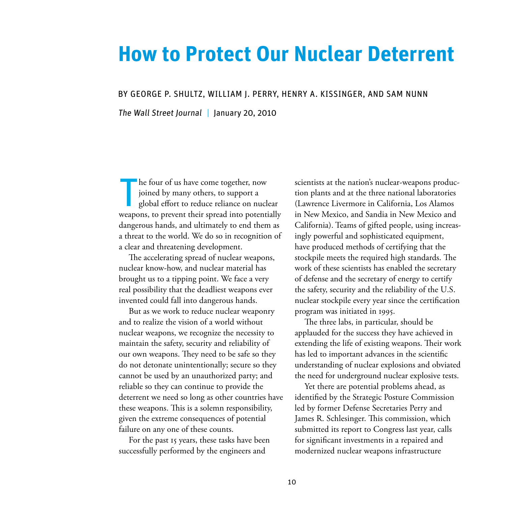# **How to Protect Our Nuclear Deterrent**

By George P. Shultz, William J. Perry, Henry A. Kissinger, and Sam Nunn

The Wall Street Journal | January 20, 2010

T he four of us have come together, now joined by many others, to support a global effort to reduce reliance on nuclear weapons, to prevent their spread into potentially dangerous hands, and ultimately to end them as a threat to the world. We do so in recognition of a clear and threatening development.

The accelerating spread of nuclear weapons, nuclear know-how, and nuclear material has brought us to a tipping point. We face a very real possibility that the deadliest weapons ever invented could fall into dangerous hands.

But as we work to reduce nuclear weaponry and to realize the vision of a world without nuclear weapons, we recognize the necessity to maintain the safety, security and reliability of our own weapons. They need to be safe so they do not detonate unintentionally; secure so they cannot be used by an unauthorized party; and reliable so they can continue to provide the deterrent we need so long as other countries have these weapons. This is a solemn responsibility, given the extreme consequences of potential failure on any one of these counts.

For the past 15 years, these tasks have been successfully performed by the engineers and

scientists at the nation's nuclear-weapons production plants and at the three national laboratories (Lawrence Livermore in California, Los Alamos in New Mexico, and Sandia in New Mexico and California). Teams of gifted people, using increasingly powerful and sophisticated equipment, have produced methods of certifying that the stockpile meets the required high standards. The work of these scientists has enabled the secretary of defense and the secretary of energy to certify the safety, security and the reliability of the U.S. nuclear stockpile every year since the certification program was initiated in 1995.

The three labs, in particular, should be applauded for the success they have achieved in extending the life of existing weapons. Their work has led to important advances in the scientific understanding of nuclear explosions and obviated the need for underground nuclear explosive tests.

Yet there are potential problems ahead, as identified by the Strategic Posture Commission led by former Defense Secretaries Perry and James R. Schlesinger. This commission, which submitted its report to Congress last year, calls for significant investments in a repaired and modernized nuclear weapons infrastructure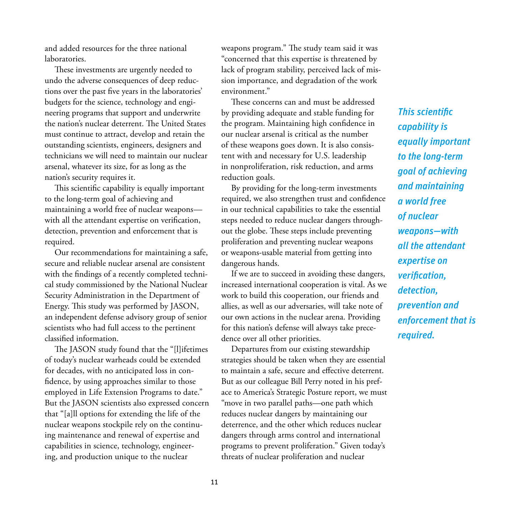and added resources for the three national laboratories.

These investments are urgently needed to undo the adverse consequences of deep reductions over the past five years in the laboratories' budgets for the science, technology and engineering programs that support and underwrite the nation's nuclear deterrent. The United States must continue to attract, develop and retain the outstanding scientists, engineers, designers and technicians we will need to maintain our nuclear arsenal, whatever its size, for as long as the nation's security requires it.

This scientific capability is equally important to the long-term goal of achieving and maintaining a world free of nuclear weapons with all the attendant expertise on verification, detection, prevention and enforcement that is required.

Our recommendations for maintaining a safe, secure and reliable nuclear arsenal are consistent with the findings of a recently completed technical study commissioned by the National Nuclear Security Administration in the Department of Energy. This study was performed by JASON, an independent defense advisory group of senior scientists who had full access to the pertinent classified information.

The JASON study found that the "[l]ifetimes of today's nuclear warheads could be extended for decades, with no anticipated loss in confidence, by using approaches similar to those employed in Life Extension Programs to date." But the JASON scientists also expressed concern that "[a]ll options for extending the life of the nuclear weapons stockpile rely on the continuing maintenance and renewal of expertise and capabilities in science, technology, engineering, and production unique to the nuclear

weapons program." The study team said it was "concerned that this expertise is threatened by lack of program stability, perceived lack of mission importance, and degradation of the work environment."

These concerns can and must be addressed by providing adequate and stable funding for the program. Maintaining high confidence in our nuclear arsenal is critical as the number of these weapons goes down. It is also consistent with and necessary for U.S. leadership in nonproliferation, risk reduction, and arms reduction goals.

By providing for the long-term investments required, we also strengthen trust and confidence in our technical capabilities to take the essential steps needed to reduce nuclear dangers throughout the globe. These steps include preventing proliferation and preventing nuclear weapons or weapons-usable material from getting into dangerous hands.

If we are to succeed in avoiding these dangers, increased international cooperation is vital. As we work to build this cooperation, our friends and allies, as well as our adversaries, will take note of our own actions in the nuclear arena. Providing for this nation's defense will always take precedence over all other priorities.

Departures from our existing stewardship strategies should be taken when they are essential to maintain a safe, secure and effective deterrent. But as our colleague Bill Perry noted in his preface to America's Strategic Posture report, we must "move in two parallel paths—one path which reduces nuclear dangers by maintaining our deterrence, and the other which reduces nuclear dangers through arms control and international programs to prevent proliferation." Given today's threats of nuclear proliferation and nuclear

*This scientific capability is equally important to the long-term goal of achieving and maintaining a world free of nuclear weapons—with all the attendant expertise on verification, detection, prevention and enforcement that is required.*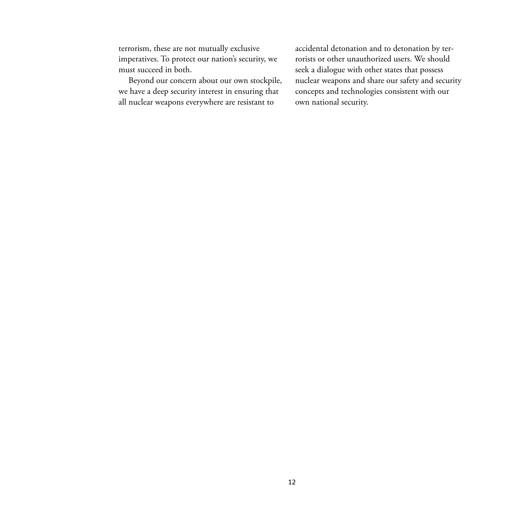terrorism, these are not mutually exclusive imperatives. To protect our nation's security, we must succeed in both.

Beyond our concern about our own stockpile, we have a deep security interest in ensuring that all nuclear weapons everywhere are resistant to

accidental detonation and to detonation by terrorists or other unauthorized users. We should seek a dialogue with other states that possess nuclear weapons and share our safety and security concepts and technologies consistent with our own national security.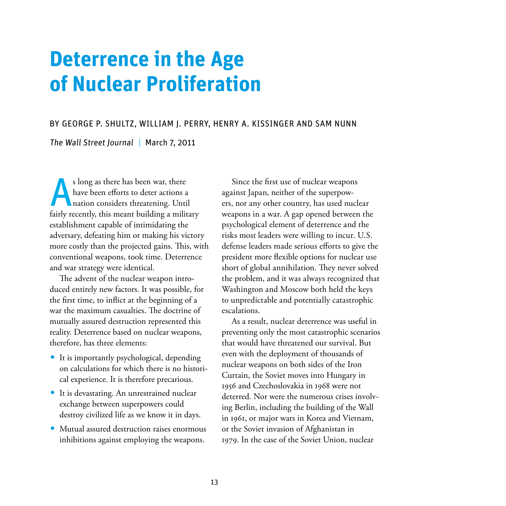# **Deterrence in the Age of Nuclear Proliferation**

#### By George P. Shultz, William J. Perry, Henry A. Kissinger and Sam Nunn

The Wall Street Journal | March 7, 2011

s long as there has been war, there<br>have been efforts to deter actions a<br>nation considers threatening. Unti have been efforts to deter actions a nation considers threatening. Until fairly recently, this meant building a military establishment capable of intimidating the adversary, defeating him or making his victory more costly than the projected gains. This, with conventional weapons, took time. Deterrence and war strategy were identical.

The advent of the nuclear weapon introduced entirely new factors. It was possible, for the first time, to inflict at the beginning of a war the maximum casualties. The doctrine of mutually assured destruction represented this reality. Deterrence based on nuclear weapons, therefore, has three elements:

- It is importantly psychological, depending on calculations for which there is no historical experience. It is therefore precarious.
- It is devastating. An unrestrained nuclear exchange between superpowers could destroy civilized life as we know it in days.
- Mutual assured destruction raises enormous inhibitions against employing the weapons.

Since the first use of nuclear weapons against Japan, neither of the superpowers, nor any other country, has used nuclear weapons in a war. A gap opened between the psychological element of deterrence and the risks most leaders were willing to incur. U.S. defense leaders made serious efforts to give the president more flexible options for nuclear use short of global annihilation. They never solved the problem, and it was always recognized that Washington and Moscow both held the keys to unpredictable and potentially catastrophic escalations.

As a result, nuclear deterrence was useful in preventing only the most catastrophic scenarios that would have threatened our survival. But even with the deployment of thousands of nuclear weapons on both sides of the Iron Curtain, the Soviet moves into Hungary in 1956 and Czechoslovakia in 1968 were not deterred. Nor were the numerous crises involving Berlin, including the building of the Wall in 1961, or major wars in Korea and Vietnam, or the Soviet invasion of Afghanistan in 1979. In the case of the Soviet Union, nuclear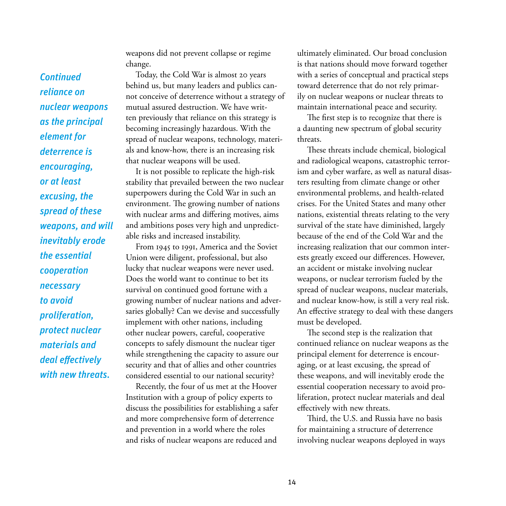*Continued reliance on nuclear weapons as the principal element for deterrence is encouraging, or at least excusing, the spread of these weapons, and will inevitably erode the essential cooperation necessary to avoid proliferation, protect nuclear materials and deal effectively with new threats.*

weapons did not prevent collapse or regime change.

Today, the Cold War is almost 20 years behind us, but many leaders and publics cannot conceive of deterrence without a strategy of mutual assured destruction. We have written previously that reliance on this strategy is becoming increasingly hazardous. With the spread of nuclear weapons, technology, materials and know‐how, there is an increasing risk that nuclear weapons will be used.

It is not possible to replicate the high‐risk stability that prevailed between the two nuclear superpowers during the Cold War in such an environment. The growing number of nations with nuclear arms and differing motives, aims and ambitions poses very high and unpredictable risks and increased instability.

From 1945 to 1991, America and the Soviet Union were diligent, professional, but also lucky that nuclear weapons were never used. Does the world want to continue to bet its survival on continued good fortune with a growing number of nuclear nations and adversaries globally? Can we devise and successfully implement with other nations, including other nuclear powers, careful, cooperative concepts to safely dismount the nuclear tiger while strengthening the capacity to assure our security and that of allies and other countries considered essential to our national security?

Recently, the four of us met at the Hoover Institution with a group of policy experts to discuss the possibilities for establishing a safer and more comprehensive form of deterrence and prevention in a world where the roles and risks of nuclear weapons are reduced and

ultimately eliminated. Our broad conclusion is that nations should move forward together with a series of conceptual and practical steps toward deterrence that do not rely primarily on nuclear weapons or nuclear threats to maintain international peace and security.

The first step is to recognize that there is a daunting new spectrum of global security threats.

These threats include chemical, biological and radiological weapons, catastrophic terrorism and cyber warfare, as well as natural disasters resulting from climate change or other environmental problems, and health‐related crises. For the United States and many other nations, existential threats relating to the very survival of the state have diminished, largely because of the end of the Cold War and the increasing realization that our common interests greatly exceed our differences. However, an accident or mistake involving nuclear weapons, or nuclear terrorism fueled by the spread of nuclear weapons, nuclear materials, and nuclear know‐how, is still a very real risk. An effective strategy to deal with these dangers must be developed.

The second step is the realization that continued reliance on nuclear weapons as the principal element for deterrence is encouraging, or at least excusing, the spread of these weapons, and will inevitably erode the essential cooperation necessary to avoid proliferation, protect nuclear materials and deal effectively with new threats.

Third, the U.S. and Russia have no basis for maintaining a structure of deterrence involving nuclear weapons deployed in ways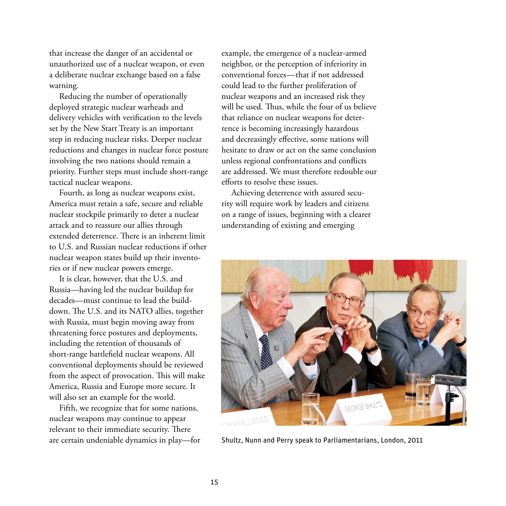that increase the danger of an accidental or unauthorized use of a nuclear weapon, or even a deliberate nuclear exchange based on a false warning.

Reducing the number of operationally deployed strategic nuclear warheads and delivery vehicles with verification to the levels set by the New Start Treaty is an important step in reducing nuclear risks. Deeper nuclear reductions and changes in nuclear force posture involving the two nations should remain a priority. Further steps must include short‐range tactical nuclear weapons.

Fourth, as long as nuclear weapons exist, America must retain a safe, secure and reliable nuclear stockpile primarily to deter a nuclear attack and to reassure our allies through extended deterrence. There is an inherent limit to U.S. and Russian nuclear reductions if other nuclear weapon states build up their inventories or if new nuclear powers emerge.

It is clear, however, that the U.S. and Russia—having led the nuclear buildup for decades—must continue to lead the build‐ down. The U.S. and its NATO allies, together with Russia, must begin moving away from threatening force postures and deployments, including the retention of thousands of short‐range battlefield nuclear weapons. All conventional deployments should be reviewed from the aspect of provocation. This will make America, Russia and Europe more secure. It will also set an example for the world.

Fifth, we recognize that for some nations, nuclear weapons may continue to appear relevant to their immediate security. There are certain undeniable dynamics in play—for example, the emergence of a nuclear‐armed neighbor, or the perception of inferiority in conventional forces—that if not addressed could lead to the further proliferation of nuclear weapons and an increased risk they will be used. Thus, while the four of us believe that reliance on nuclear weapons for deterrence is becoming increasingly hazardous and decreasingly effective, some nations will hesitate to draw or act on the same conclusion unless regional confrontations and conflicts are addressed. We must therefore redouble our efforts to resolve these issues.

Achieving deterrence with assured security will require work by leaders and citizens on a range of issues, beginning with a clearer understanding of existing and emerging



Shultz, Nunn and Perry speak to Parliamentarians, London, 2011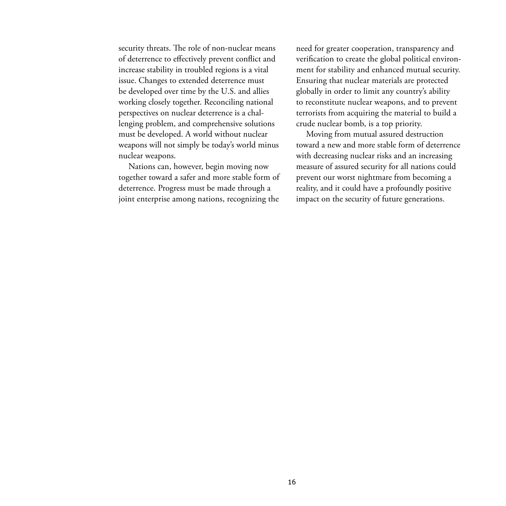security threats. The role of non‐nuclear means of deterrence to effectively prevent conflict and increase stability in troubled regions is a vital issue. Changes to extended deterrence must be developed over time by the U.S. and allies working closely together. Reconciling national perspectives on nuclear deterrence is a challenging problem, and comprehensive solutions must be developed. A world without nuclear weapons will not simply be today's world minus nuclear weapons.

Nations can, however, begin moving now together toward a safer and more stable form of deterrence. Progress must be made through a joint enterprise among nations, recognizing the

need for greater cooperation, transparency and verification to create the global political environment for stability and enhanced mutual security. Ensuring that nuclear materials are protected globally in order to limit any country's ability to reconstitute nuclear weapons, and to prevent terrorists from acquiring the material to build a crude nuclear bomb, is a top priority.

Moving from mutual assured destruction toward a new and more stable form of deterrence with decreasing nuclear risks and an increasing measure of assured security for all nations could prevent our worst nightmare from becoming a reality, and it could have a profoundly positive impact on the security of future generations.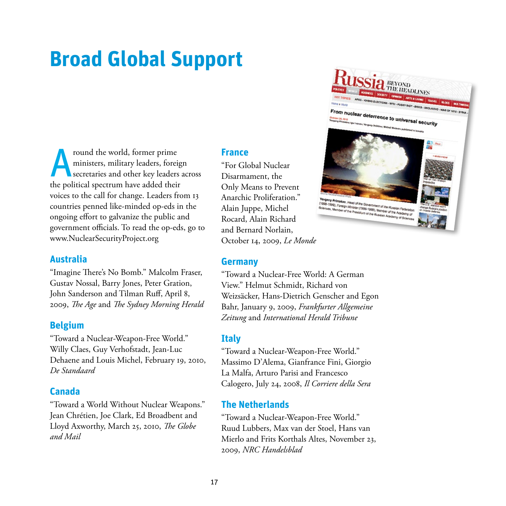# **Broad Global Support**

France de World, former prime<br>
ministers, military leaders, foreix<br>
secretaries and other key leaders<br>
the political maximum hand did divident ministers, military leaders, foreign secretaries and other key leaders across the political spectrum have added their voices to the call for change. Leaders from 13 countries penned like-minded op-eds in the ongoing effort to galvanize the public and government officials. To read the op-eds, go to www.NuclearSecurityProject.org

#### **Australia**

"Imagine There's No Bomb." Malcolm Fraser, Gustav Nossal, Barry Jones, Peter Gration, John Sanderson and Tilman Ruff, April 8, 2009, *The Age* and *The Sydney Morning Herald*

#### **Belgium**

"Toward a Nuclear-Weapon-Free World." Willy Claes, Guy Verhofstadt, Jean-Luc Dehaene and Louis Michel, February 19, 2010, *De Standaard*

#### **Canada**

"Toward a World Without Nuclear Weapons." Jean Chrétien, Joe Clark, Ed Broadbent and Lloyd Axworthy, March 25, 2010, *The Globe and Mail*

#### **France**

"For Global Nuclear Disarmament, the Only Means to Prevent Anarchic Proliferation." Alain Juppe, Michel Rocard, Alain Richard and Bernard Norlain, October 14, 2009, *Le Monde*

#### **Germany**

"Toward a Nuclear-Free World: A German View." Helmut Schmidt, Richard von Weizsäcker, Hans-Dietrich Genscher and Egon Bahr, January 9, 2009, *Frankfurter Allgemeine Zeitung* and *International Herald Tribune*

#### **Italy**

"Toward a Nuclear-Weapon-Free World." Massimo D'Alema, Gianfrance Fini, Giorgio La Malfa, Arturo Parisi and Francesco Calogero, July 24, 2008, *Il Corriere della Sera*

#### **The Netherlands**

"Toward a Nuclear-Weapon-Free World." Ruud Lubbers, Max van der Stoel, Hans van Mierlo and Frits Korthals Altes, November 23, 2009, *NRC Handelsblad*

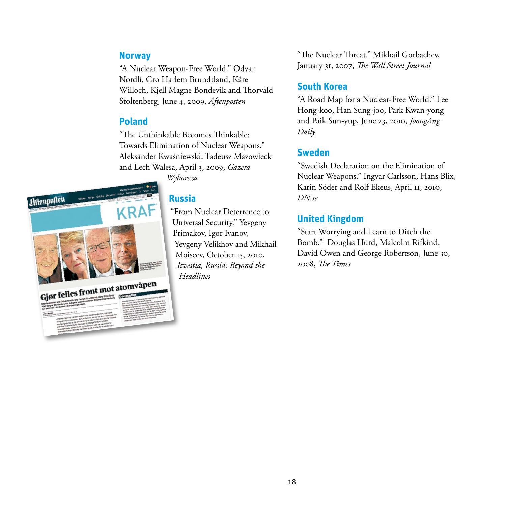#### **Norway**

"A Nuclear Weapon-Free World." Odvar Nordli, Gro Harlem Brundtland, Kåre Willoch, Kjell Magne Bondevik and Thorvald Stoltenberg, June 4, 2009, *Aftenposten*

#### **Poland**

"The Unthinkable Becomes Thinkable: Towards Elimination of Nuclear Weapons." Aleksander Kwaśniewski, Tadeusz Mazowieck and Lech Walesa, April 3, 2009, *Gazeta* 

*Wyborcza*



### **Russia**

"From Nuclear Deterrence to Universal Security." Yevgeny Primakov, Igor Ivanov, Yevgeny Velikhov and Mikhail Moiseev, October 15, 2010, *Izvestia, Russia: Beyond the Headlines* 

"The Nuclear Threat." Mikhail Gorbachev, January 31, 2007, *The Wall Street Journal*

#### **South Korea**

"A Road Map for a Nuclear-Free World." Lee Hong-koo, Han Sung-joo, Park Kwan-yong and Paik Sun-yup, June 23, 2010, *JoongAng Daily*

#### **Sweden**

"Swedish Declaration on the Elimination of Nuclear Weapons." Ingvar Carlsson, Hans Blix, Karin Söder and Rolf Ekeus, April 11, 2010, *DN.se*

### **United Kingdom**

"Start Worrying and Learn to Ditch the Bomb." Douglas Hurd, Malcolm Rifkind, David Owen and George Robertson, June 30, 2008, *The Times*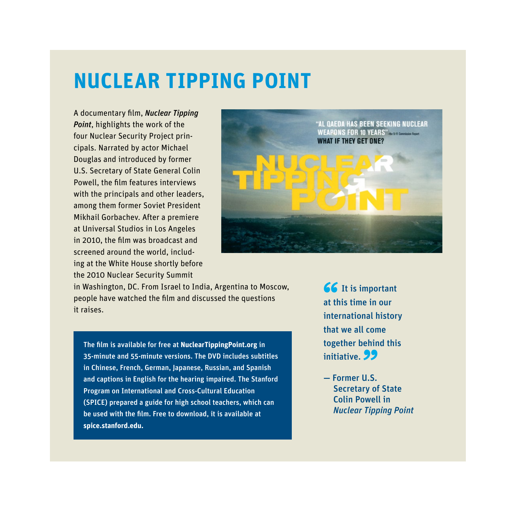# **Nuclear Tipping Point**

A documentary film, *Nuclear Tipping Point*, highlights the work of the four Nuclear Security Project principals. Narrated by actor Michael Douglas and introduced by former U.S. Secretary of State General Colin Powell, the film features interviews with the principals and other leaders, among them former Soviet President Mikhail Gorbachev. After a premiere at Universal Studios in Los Angeles in 2010, the film was broadcast and screened around the world, including at the White House shortly before the 2010 Nuclear Security Summit



in Washington, DC. From Israel to India, Argentina to Moscow, people have watched the film and discussed the questions it raises.

The film is available for free at **NuclearTippingPoint.org** in 35-minute and 55-minute versions. The DVD includes subtitles in Chinese, French, German, Japanese, Russian, and Spanish and captions in English for the hearing impaired. The Stanford Program on International and Cross-Cultural Education (SPICE) prepared a guide for high school teachers, which can be used with the film. Free to download, it is available at **spice.stanford.edu.** 

66 It is important at this time in our international history that we all come together behind this initiative.  $99$ 

— Former U.S. Secretary of State Colin Powell in *Nuclear Tipping Point*